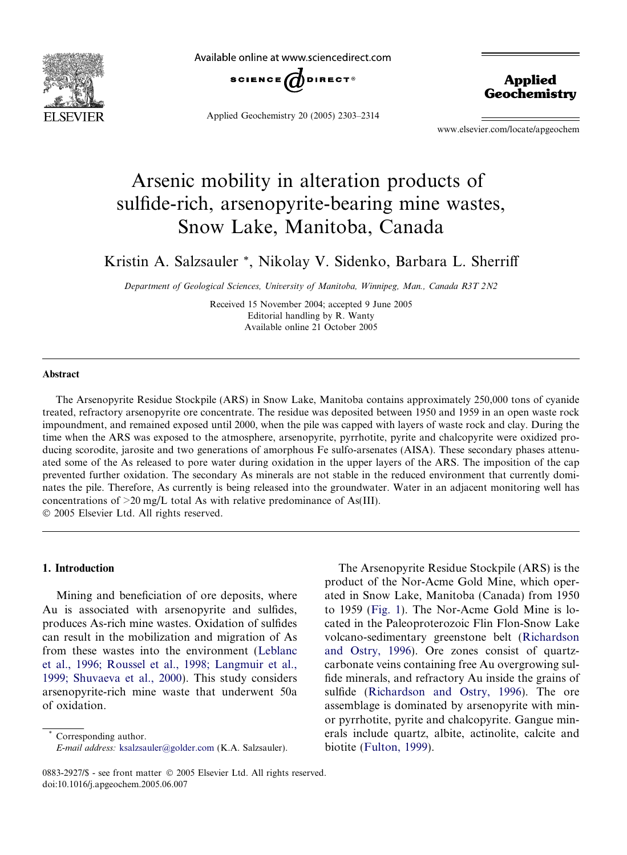

Available online at www.sciencedirect.com



Applied Geochemistry 20 (2005) 2303–2314

Applied **Geochemistry** 

www.elsevier.com/locate/apgeochem

# Arsenic mobility in alteration products of sulfide-rich, arsenopyrite-bearing mine wastes, Snow Lake, Manitoba, Canada

Kristin A. Salzsauler \*, Nikolay V. Sidenko, Barbara L. Sherriff

Department of Geological Sciences, University of Manitoba, Winnipeg, Man., Canada R3T 2N2

Received 15 November 2004; accepted 9 June 2005 Available online 21 October 2005 Editorial handling by R. Wanty

## Abstract

The Arsenopyrite Residue Stockpile (ARS) in Snow Lake, Manitoba contains approximately 250,000 tons of cyanide treated, refractory arsenopyrite ore concentrate. The residue was deposited between 1950 and 1959 in an open waste rock impoundment, and remained exposed until 2000, when the pile was capped with layers of waste rock and clay. During the time when the ARS was exposed to the atmosphere, arsenopyrite, pyrrhotite, pyrite and chalcopyrite were oxidized producing scorodite, jarosite and two generations of amorphous Fe sulfo-arsenates (AISA). These secondary phases attenuated some of the As released to pore water during oxidation in the upper layers of the ARS. The imposition of the cap prevented further oxidation. The secondary As minerals are not stable in the reduced environment that currently dominates the pile. Therefore, As currently is being released into the groundwater. Water in an adjacent monitoring well has concentrations of >20 mg/L total As with relative predominance of As(III). 2005 Elsevier Ltd. All rights reserved.

## 1. Introduction

Mining and beneficiation of ore deposits, where Au is associated with arsenopyrite and sulfides, produces As-rich mine wastes. Oxidation of sulfides can result in the mobilization and migration of As from these wastes into the environment ([Leblanc](#page-11-0) [et al., 1996; Roussel et al., 1998; Langmuir et al.,](#page-11-0) [1999; Shuvaeva et al., 2000\)](#page-11-0). This study considers arsenopyrite-rich mine waste that underwent 50a of oxidation.

The Arsenopyrite Residue Stockpile (ARS) is the product of the Nor-Acme Gold Mine, which operated in Snow Lake, Manitoba (Canada) from 1950 to 1959 [\(Fig. 1](#page-1-0)). The Nor-Acme Gold Mine is located in the Paleoproterozoic Flin Flon-Snow Lake volcano-sedimentary greenstone belt ([Richardson](#page-11-0) [and Ostry, 1996\)](#page-11-0). Ore zones consist of quartzcarbonate veins containing free Au overgrowing sulfide minerals, and refractory Au inside the grains of sulfide ([Richardson and Ostry, 1996\)](#page-11-0). The ore assemblage is dominated by arsenopyrite with minor pyrrhotite, pyrite and chalcopyrite. Gangue minerals include quartz, albite, actinolite, calcite and biotite [\(Fulton, 1999](#page-11-0)).

Corresponding author. E-mail address: [ksalzsauler@golder.com](mailto:ksalzsauler@golder.com) (K.A. Salzsauler).

<sup>0883-2927/\$ -</sup> see front matter © 2005 Elsevier Ltd. All rights reserved. doi:10.1016/j.apgeochem.2005.06.007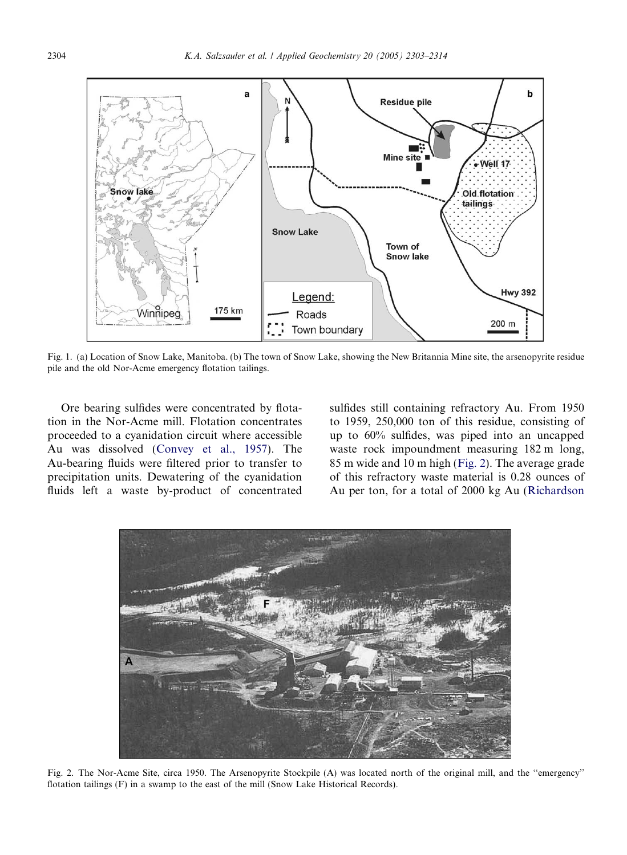<span id="page-1-0"></span>

Fig. 1. (a) Location of Snow Lake, Manitoba. (b) The town of Snow Lake, showing the New Britannia Mine site, the arsenopyrite residue pile and the old Nor-Acme emergency flotation tailings.

Ore bearing sulfides were concentrated by flotation in the Nor-Acme mill. Flotation concentrates proceeded to a cyanidation circuit where accessible Au was dissolved ([Convey et al., 1957](#page-11-0)). The Au-bearing fluids were filtered prior to transfer to precipitation units. Dewatering of the cyanidation fluids left a waste by-product of concentrated sulfides still containing refractory Au. From 1950 to 1959, 250,000 ton of this residue, consisting of up to 60% sulfides, was piped into an uncapped waste rock impoundment measuring 182 m long, 85 m wide and 10 m high (Fig. 2). The average grade of this refractory waste material is 0.28 ounces of Au per ton, for a total of 2000 kg Au ([Richardson](#page-11-0)



Fig. 2. The Nor-Acme Site, circa 1950. The Arsenopyrite Stockpile (A) was located north of the original mill, and the ''emergency'' flotation tailings (F) in a swamp to the east of the mill (Snow Lake Historical Records).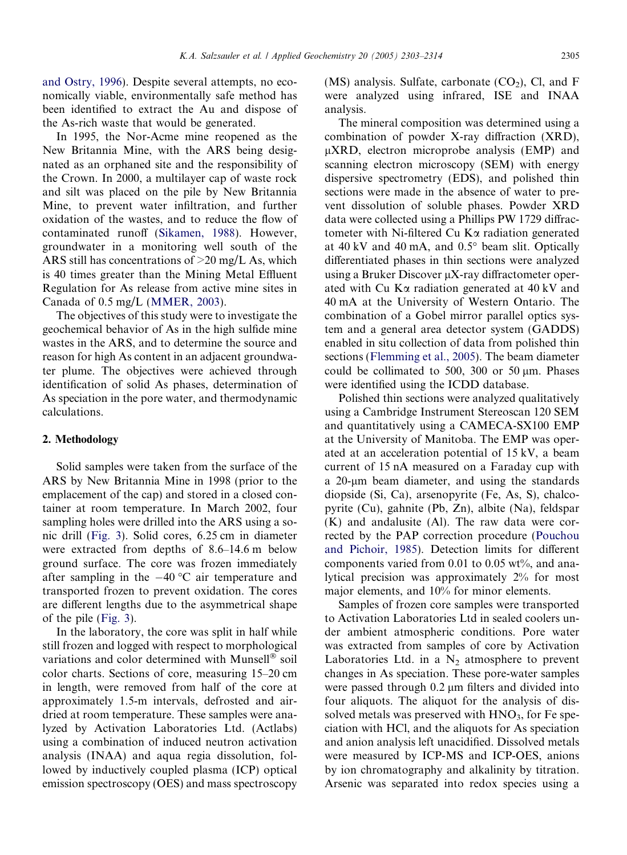[and Ostry, 1996\)](#page-11-0). Despite several attempts, no economically viable, environmentally safe method has been identified to extract the Au and dispose of the As-rich waste that would be generated.

In 1995, the Nor-Acme mine reopened as the New Britannia Mine, with the ARS being designated as an orphaned site and the responsibility of the Crown. In 2000, a multilayer cap of waste rock and silt was placed on the pile by New Britannia Mine, to prevent water infiltration, and further oxidation of the wastes, and to reduce the flow of contaminated runoff ([Sikamen, 1988](#page-11-0)). However, groundwater in a monitoring well south of the ARS still has concentrations of  $>20$  mg/L As, which is 40 times greater than the Mining Metal Effluent Regulation for As release from active mine sites in Canada of 0.5 mg/L ([MMER, 2003\)](#page-11-0).

The objectives of this study were to investigate the geochemical behavior of As in the high sulfide mine wastes in the ARS, and to determine the source and reason for high As content in an adjacent groundwater plume. The objectives were achieved through identification of solid As phases, determination of As speciation in the pore water, and thermodynamic calculations.

#### 2. Methodology

Solid samples were taken from the surface of the ARS by New Britannia Mine in 1998 (prior to the emplacement of the cap) and stored in a closed container at room temperature. In March 2002, four sampling holes were drilled into the ARS using a sonic drill ([Fig. 3](#page-3-0)). Solid cores, 6.25 cm in diameter were extracted from depths of 8.6–14.6 m below ground surface. The core was frozen immediately after sampling in the  $-40$  °C air temperature and transported frozen to prevent oxidation. The cores are different lengths due to the asymmetrical shape of the pile [\(Fig. 3\)](#page-3-0).

In the laboratory, the core was split in half while still frozen and logged with respect to morphological variations and color determined with Munsell<sup>®</sup> soil color charts. Sections of core, measuring 15–20 cm in length, were removed from half of the core at approximately 1.5-m intervals, defrosted and airdried at room temperature. These samples were analyzed by Activation Laboratories Ltd. (Actlabs) using a combination of induced neutron activation analysis (INAA) and aqua regia dissolution, followed by inductively coupled plasma (ICP) optical emission spectroscopy (OES) and mass spectroscopy

(MS) analysis. Sulfate, carbonate  $(CO<sub>2</sub>)$ , Cl, and F were analyzed using infrared, ISE and INAA analysis.

The mineral composition was determined using a combination of powder X-ray diffraction (XRD),  $\mu$ XRD, electron microprobe analysis (EMP) and scanning electron microscopy (SEM) with energy dispersive spectrometry (EDS), and polished thin sections were made in the absence of water to prevent dissolution of soluble phases. Powder XRD data were collected using a Phillips PW 1729 diffractometer with Ni-filtered Cu  $K\alpha$  radiation generated at  $40 \text{ kV}$  and  $40 \text{ mA}$ , and  $0.5^{\circ}$  beam slit. Optically differentiated phases in thin sections were analyzed using a Bruker Discover  $\mu$ X-ray diffractometer operated with Cu  $K\alpha$  radiation generated at 40 kV and 40 mA at the University of Western Ontario. The combination of a Gobel mirror parallel optics system and a general area detector system (GADDS) enabled in situ collection of data from polished thin sections [\(Flemming et al., 2005\)](#page-11-0). The beam diameter could be collimated to 500, 300 or 50  $\mu$ m. Phases were identified using the ICDD database.

Polished thin sections were analyzed qualitatively using a Cambridge Instrument Stereoscan 120 SEM and quantitatively using a CAMECA-SX100 EMP at the University of Manitoba. The EMP was operated at an acceleration potential of 15 kV, a beam current of 15 nA measured on a Faraday cup with a 20-um beam diameter, and using the standards diopside (Si, Ca), arsenopyrite (Fe, As, S), chalcopyrite (Cu), gahnite (Pb, Zn), albite (Na), feldspar (K) and andalusite (Al). The raw data were corrected by the PAP correction procedure [\(Pouchou](#page-11-0) [and Pichoir, 1985](#page-11-0)). Detection limits for different components varied from  $0.01$  to  $0.05$  wt%, and analytical precision was approximately 2% for most major elements, and 10% for minor elements.

Samples of frozen core samples were transported to Activation Laboratories Ltd in sealed coolers under ambient atmospheric conditions. Pore water was extracted from samples of core by Activation Laboratories Ltd. in a  $N_2$  atmosphere to prevent changes in As speciation. These pore-water samples were passed through  $0.2 \mu m$  filters and divided into four aliquots. The aliquot for the analysis of dissolved metals was preserved with  $HNO<sub>3</sub>$ , for Fe speciation with HCl, and the aliquots for As speciation and anion analysis left unacidified. Dissolved metals were measured by ICP-MS and ICP-OES, anions by ion chromatography and alkalinity by titration. Arsenic was separated into redox species using a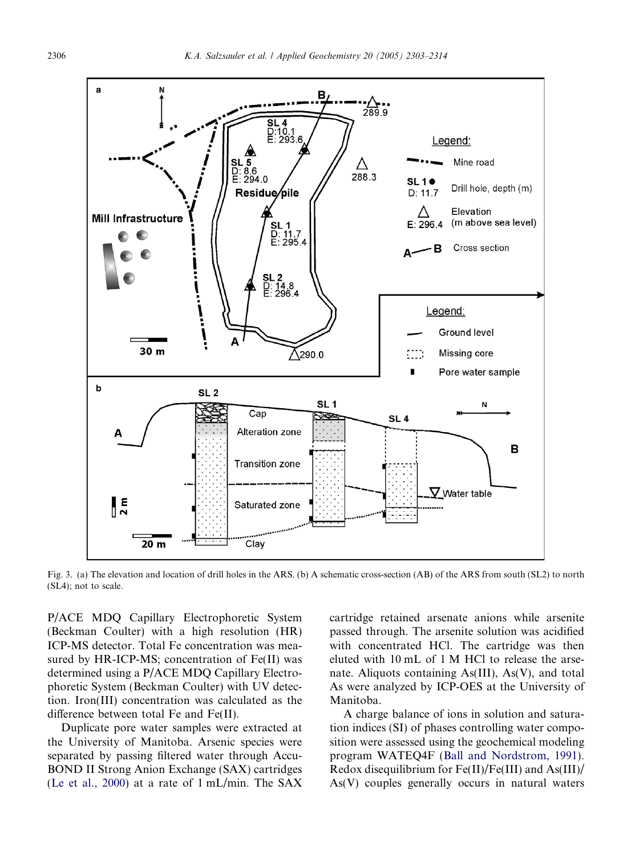<span id="page-3-0"></span>

Fig. 3. (a) The elevation and location of drill holes in the ARS. (b) A schematic cross-section (AB) of the ARS from south (SL2) to north (SL4); not to scale.

P/ACE MDQ Capillary Electrophoretic System (Beckman Coulter) with a high resolution (HR) ICP-MS detector. Total Fe concentration was measured by HR-ICP-MS; concentration of Fe(II) was determined using a P/ACE MDQ Capillary Electrophoretic System (Beckman Coulter) with UV detection. Iron(III) concentration was calculated as the difference between total Fe and Fe(II).

Duplicate pore water samples were extracted at the University of Manitoba. Arsenic species were separated by passing filtered water through Accu-BOND II Strong Anion Exchange (SAX) cartridges ([Le et al., 2000\)](#page-11-0) at a rate of 1 mL/min. The SAX cartridge retained arsenate anions while arsenite passed through. The arsenite solution was acidified with concentrated HCl. The cartridge was then eluted with 10 mL of 1 M HCl to release the arsenate. Aliquots containing As(III), As(V), and total As were analyzed by ICP-OES at the University of Manitoba.

A charge balance of ions in solution and saturation indices (SI) of phases controlling water composition were assessed using the geochemical modeling program WATEQ4F [\(Ball and Nordstrom, 1991](#page-11-0)). Redox disequilibrium for Fe(II)/Fe(III) and As(III)/ As(V) couples generally occurs in natural waters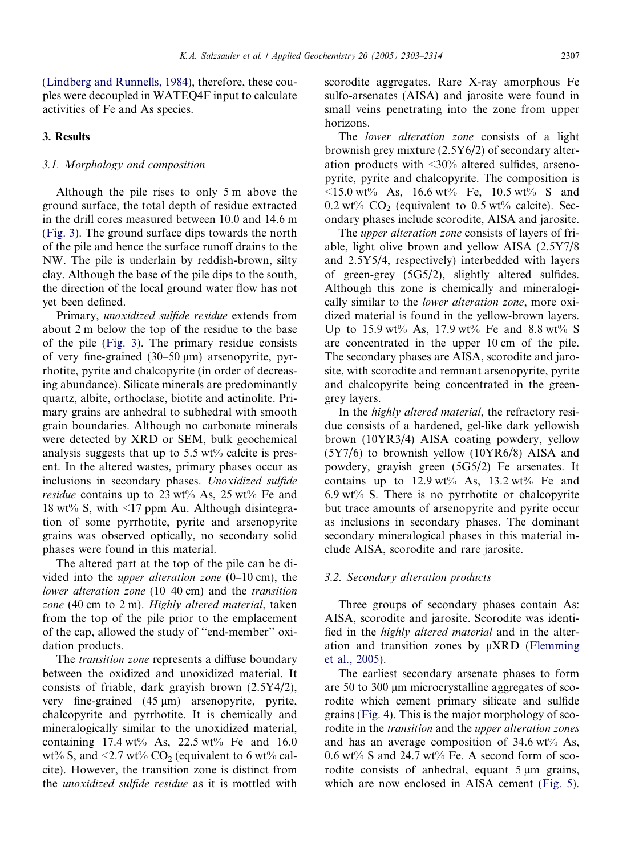[\(Lindberg and Runnells, 1984](#page-11-0)), therefore, these couples were decoupled in WATEQ4F input to calculate activities of Fe and As species.

# 3. Results

## 3.1. Morphology and composition

Although the pile rises to only 5 m above the ground surface, the total depth of residue extracted in the drill cores measured between 10.0 and 14.6 m [\(Fig. 3](#page-3-0)). The ground surface dips towards the north of the pile and hence the surface runoff drains to the NW. The pile is underlain by reddish-brown, silty clay. Although the base of the pile dips to the south, the direction of the local ground water flow has not yet been defined.

Primary, unoxidized sulfide residue extends from about 2 m below the top of the residue to the base of the pile ([Fig. 3\)](#page-3-0). The primary residue consists of very fine-grained  $(30-50 \,\mu m)$  arsenopyrite, pyrrhotite, pyrite and chalcopyrite (in order of decreasing abundance). Silicate minerals are predominantly quartz, albite, orthoclase, biotite and actinolite. Primary grains are anhedral to subhedral with smooth grain boundaries. Although no carbonate minerals were detected by XRD or SEM, bulk geochemical analysis suggests that up to  $5.5 \text{ wt}$ % calcite is present. In the altered wastes, primary phases occur as inclusions in secondary phases. Unoxidized sulfide *residue* contains up to 23 wt% As, 25 wt% Fe and 18 wt% S, with  $\leq$ 17 ppm Au. Although disintegration of some pyrrhotite, pyrite and arsenopyrite grains was observed optically, no secondary solid phases were found in this material.

The altered part at the top of the pile can be divided into the upper alteration zone (0–10 cm), the lower alteration zone (10–40 cm) and the transition zone (40 cm to 2 m). Highly altered material, taken from the top of the pile prior to the emplacement of the cap, allowed the study of ''end-member'' oxidation products.

The *transition zone* represents a diffuse boundary between the oxidized and unoxidized material. It consists of friable, dark grayish brown (2.5Y4/2), very fine-grained  $(45 \text{ }\mu\text{m})$  arsenopyrite, pyrite, chalcopyrite and pyrrhotite. It is chemically and mineralogically similar to the unoxidized material, containing 17.4 wt% As, 22.5 wt% Fe and 16.0 wt% S, and  $\leq 2.7$  wt% CO<sub>2</sub> (equivalent to 6 wt% calcite). However, the transition zone is distinct from the unoxidized sulfide residue as it is mottled with

scorodite aggregates. Rare X-ray amorphous Fe sulfo-arsenates (AISA) and jarosite were found in small veins penetrating into the zone from upper horizons.

The lower alteration zone consists of a light brownish grey mixture (2.5Y6/2) of secondary alteration products with <30% altered sulfides, arsenopyrite, pyrite and chalcopyrite. The composition is  $\leq 15.0$  wt% As, 16.6 wt% Fe, 10.5 wt% S and  $0.2$  wt%  $CO<sub>2</sub>$  (equivalent to  $0.5$  wt% calcite). Secondary phases include scorodite, AISA and jarosite.

The *upper alteration zone* consists of layers of friable, light olive brown and yellow AISA (2.5Y7/8 and 2.5Y5/4, respectively) interbedded with layers of green-grey (5G5/2), slightly altered sulfides. Although this zone is chemically and mineralogically similar to the lower alteration zone, more oxidized material is found in the yellow-brown layers. Up to 15.9 wt% As, 17.9 wt% Fe and 8.8 wt% S are concentrated in the upper 10 cm of the pile. The secondary phases are AISA, scorodite and jarosite, with scorodite and remnant arsenopyrite, pyrite and chalcopyrite being concentrated in the greengrey layers.

In the highly altered material, the refractory residue consists of a hardened, gel-like dark yellowish brown (10YR3/4) AISA coating powdery, yellow (5Y7/6) to brownish yellow (10YR6/8) AISA and powdery, grayish green (5G5/2) Fe arsenates. It contains up to  $12.9 \text{ wt\% As}, 13.2 \text{ wt\% Fe}$  and 6.9 wt% S. There is no pyrrhotite or chalcopyrite but trace amounts of arsenopyrite and pyrite occur as inclusions in secondary phases. The dominant secondary mineralogical phases in this material include AISA, scorodite and rare jarosite.

### 3.2. Secondary alteration products

Three groups of secondary phases contain As: AISA, scorodite and jarosite. Scorodite was identified in the highly altered material and in the alteration and transition zones by  $\mu$ XRD ([Flemming](#page-11-0) [et al., 2005](#page-11-0)).

The earliest secondary arsenate phases to form are 50 to 300  $\mu$ m microcrystalline aggregates of scorodite which cement primary silicate and sulfide grains ([Fig. 4](#page-5-0)). This is the major morphology of scorodite in the transition and the upper alteration zones and has an average composition of  $34.6 \text{ wt\%}$  As,  $0.6$  wt% S and 24.7 wt% Fe. A second form of scorodite consists of anhedral, equant  $5 \mu m$  grains, which are now enclosed in AISA cement ([Fig. 5](#page-5-0)).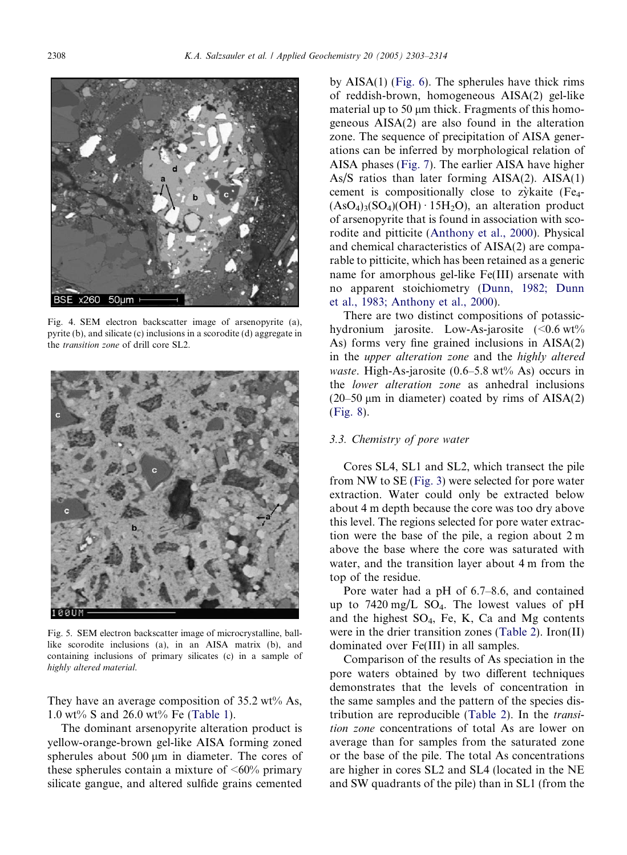<span id="page-5-0"></span>

Fig. 4. SEM electron backscatter image of arsenopyrite (a), pyrite (b), and silicate (c) inclusions in a scorodite (d) aggregate in the transition zone of drill core SL2.



Fig. 5. SEM electron backscatter image of microcrystalline, balllike scorodite inclusions (a), in an AISA matrix (b), and containing inclusions of primary silicates (c) in a sample of highly altered material.

They have an average composition of  $35.2 \text{ wt} \%$  As, 1.0 wt% S and 26.0 wt% Fe [\(Table 1\)](#page-6-0).

The dominant arsenopyrite alteration product is yellow-orange-brown gel-like AISA forming zoned spherules about  $500 \mu m$  in diameter. The cores of these spherules contain a mixture of  $\leq 60\%$  primary silicate gangue, and altered sulfide grains cemented by AISA(1) [\(Fig. 6\)](#page-6-0). The spherules have thick rims of reddish-brown, homogeneous AISA(2) gel-like material up to 50  $\mu$ m thick. Fragments of this homogeneous AISA(2) are also found in the alteration zone. The sequence of precipitation of AISA generations can be inferred by morphological relation of AISA phases ([Fig. 7\)](#page-7-0). The earlier AISA have higher As/S ratios than later forming AISA(2). AISA(1) cement is compositionally close to zykaite  $(Fe<sub>4</sub> (AsO<sub>4</sub>)<sub>3</sub>(SO<sub>4</sub>)(OH) \cdot 15H<sub>2</sub>O$ , an alteration product of arsenopyrite that is found in association with scorodite and pitticite ([Anthony et al., 2000\)](#page-11-0). Physical and chemical characteristics of AISA(2) are comparable to pitticite, which has been retained as a generic name for amorphous gel-like Fe(III) arsenate with no apparent stoichiometry [\(Dunn, 1982; Dunn](#page-11-0) [et al., 1983; Anthony et al., 2000](#page-11-0)).

There are two distinct compositions of potassichydronium jarosite. Low-As-jarosite  $\langle 0.6 \text{ wt}\% \rangle$ As) forms very fine grained inclusions in AISA(2) in the upper alteration zone and the highly altered waste. High-As-jarosite  $(0.6-5.8 \text{ wt\% As})$  occurs in the lower alteration zone as anhedral inclusions  $(20-50 \,\mu m)$  in diameter) coated by rims of AISA(2) ([Fig. 8\)](#page-7-0).

## 3.3. Chemistry of pore water

Cores SL4, SL1 and SL2, which transect the pile from NW to SE [\(Fig. 3\)](#page-3-0) were selected for pore water extraction. Water could only be extracted below about 4 m depth because the core was too dry above this level. The regions selected for pore water extraction were the base of the pile, a region about 2 m above the base where the core was saturated with water, and the transition layer about 4 m from the top of the residue.

Pore water had a pH of 6.7–8.6, and contained up to  $7420 \text{ mg/L}$  SO<sub>4</sub>. The lowest values of pH and the highest  $SO_4$ , Fe, K, Ca and Mg contents were in the drier transition zones [\(Table 2](#page-8-0)). Iron(II) dominated over Fe(III) in all samples.

Comparison of the results of As speciation in the pore waters obtained by two different techniques demonstrates that the levels of concentration in the same samples and the pattern of the species distribution are reproducible ([Table 2\)](#page-8-0). In the transition zone concentrations of total As are lower on average than for samples from the saturated zone or the base of the pile. The total As concentrations are higher in cores SL2 and SL4 (located in the NE and SW quadrants of the pile) than in SL1 (from the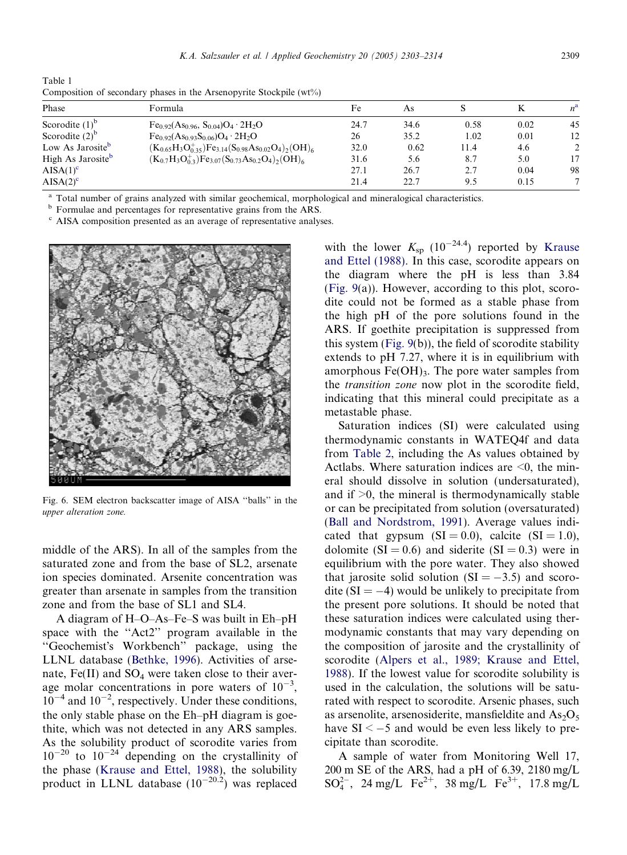<span id="page-6-0"></span>Table 1 Composition of secondary phases in the Arsenopyrite Stockpile (wt%)

| Phase                         | Formula                                                                                                                                                       | Fe   | As   |      |      |                |
|-------------------------------|---------------------------------------------------------------------------------------------------------------------------------------------------------------|------|------|------|------|----------------|
| Scorodite $(1)^b$             | $Fe_{0.92}(As_{0.96}, S_{0.04})O_4 \cdot 2H_2O$                                                                                                               | 24.7 | 34.6 | 0.58 | 0.02 | 45             |
| Scorodite $(2)^b$             | $Fe_{0.92}(As_{0.93}S_{0.06})O_4 \cdot 2H_2O$                                                                                                                 | 26   | 35.2 | 1.02 | 0.01 | 12             |
| Low As Jarosite <sup>b</sup>  | $(\mathrm{K}_{0.65}\mathrm{H}_3\mathrm{O}_{0.35}^+)$ Fe <sub>3.14</sub> (S <sub>0.98</sub> As <sub>0.02</sub> O <sub>4</sub> ) <sub>2</sub> (OH) <sub>6</sub> | 32.0 | 0.62 | 11.4 | 4.6  | $\overline{2}$ |
| High As Jarosite <sup>b</sup> | $(K_{0.7}H_3O_{0.3}^+)Fe_{3.07}(S_{0.73}As_{0.2}O_4)_2(OH)_6$                                                                                                 | 31.6 | 5.6  | 8.7  | 5.0  | 17             |
| $AISA(1)^c$                   |                                                                                                                                                               | 27.1 | 26.7 | 2.7  | 0.04 | 98             |
| $AISA(2)^c$                   |                                                                                                                                                               | 21.4 | 22.7 | 9.5  | 0.15 | 7              |

<sup>a</sup> Total number of grains analyzed with similar geochemical, morphological and mineralogical characteristics. <sup>b</sup> Formulae and percentages for representative grains from the ARS.

<sup>c</sup> AISA composition presented as an average of representative analyses.



Fig. 6. SEM electron backscatter image of AISA ''balls'' in the upper alteration zone.

middle of the ARS). In all of the samples from the saturated zone and from the base of SL2, arsenate ion species dominated. Arsenite concentration was greater than arsenate in samples from the transition zone and from the base of SL1 and SL4.

A diagram of H–O–As–Fe–S was built in Eh–pH space with the ''Act2'' program available in the "Geochemist's Workbench" package, using the LLNL database [\(Bethke, 1996\)](#page-11-0). Activities of arsenate, Fe(II) and  $SO_4$  were taken close to their average molar concentrations in pore waters of  $10^{-3}$ ,  $10^{-4}$  and  $10^{-2}$ , respectively. Under these conditions, the only stable phase on the Eh–pH diagram is goethite, which was not detected in any ARS samples. As the solubility product of scorodite varies from  $10^{-20}$  to  $10^{-24}$  depending on the crystallinity of the phase ([Krause and Ettel, 1988](#page-11-0)), the solubility product in LLNL database  $(10^{-20.2})$  was replaced with the lower  $K_{\rm sp}$  (10<sup>-24.4</sup>) reported by [Krause](#page-11-0) [and Ettel \(1988\).](#page-11-0) In this case, scorodite appears on the diagram where the pH is less than 3.84 [\(Fig. 9\(](#page-8-0)a)). However, according to this plot, scorodite could not be formed as a stable phase from the high pH of the pore solutions found in the ARS. If goethite precipitation is suppressed from this system [\(Fig. 9\(](#page-8-0)b)), the field of scorodite stability extends to pH 7.27, where it is in equilibrium with amorphous  $Fe(OH)_{3}$ . The pore water samples from the transition zone now plot in the scorodite field, indicating that this mineral could precipitate as a metastable phase.

Saturation indices (SI) were calculated using thermodynamic constants in WATEQ4f and data from [Table 2](#page-8-0), including the As values obtained by Actlabs. Where saturation indices are  $\leq 0$ , the mineral should dissolve in solution (undersaturated), and if  $\geq 0$ , the mineral is thermodynamically stable or can be precipitated from solution (oversaturated) [\(Ball and Nordstrom, 1991](#page-11-0)). Average values indicated that gypsum  $(SI = 0.0)$ , calcite  $(SI = 1.0)$ , dolomite ( $SI = 0.6$ ) and siderite ( $SI = 0.3$ ) were in equilibrium with the pore water. They also showed that jarosite solid solution  $(SI = -3.5)$  and scorodite ( $SI = -4$ ) would be unlikely to precipitate from the present pore solutions. It should be noted that these saturation indices were calculated using thermodynamic constants that may vary depending on the composition of jarosite and the crystallinity of scorodite ([Alpers et al., 1989; Krause and Ettel,](#page-11-0) [1988\)](#page-11-0). If the lowest value for scorodite solubility is used in the calculation, the solutions will be saturated with respect to scorodite. Arsenic phases, such as arsenolite, arsenosiderite, mansfieldite and  $As_2O_5$ have  $SI < -5$  and would be even less likely to precipitate than scorodite.

A sample of water from Monitoring Well 17, 200 m SE of the ARS, had a pH of 6.39, 2180 mg/L  $SO_4^{2-}$ , 24 mg/L Fe<sup>2+</sup>, 38 mg/L Fe<sup>3+</sup>, 17.8 mg/L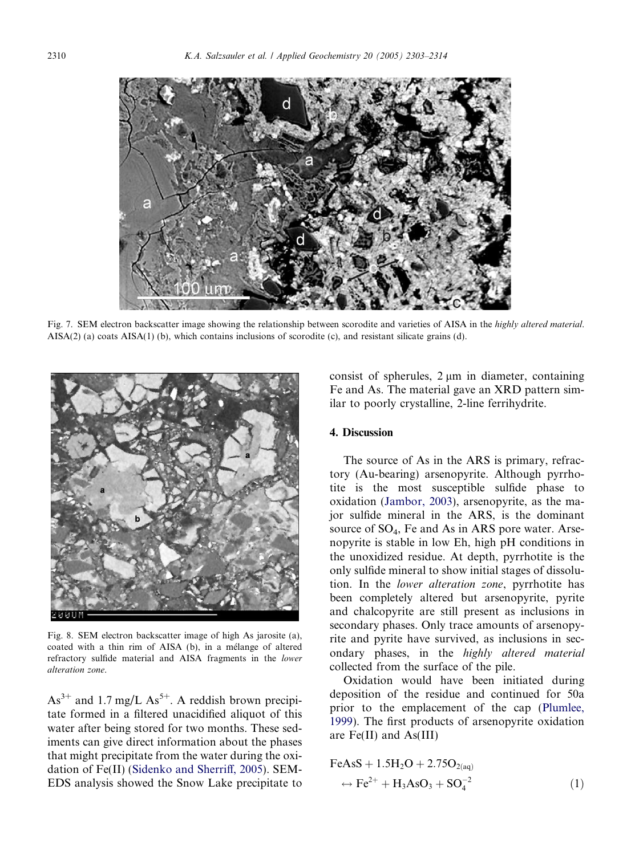<span id="page-7-0"></span>

Fig. 7. SEM electron backscatter image showing the relationship between scorodite and varieties of AISA in the highly altered material. AISA(2) (a) coats AISA(1) (b), which contains inclusions of scorodite (c), and resistant silicate grains (d).



Fig. 8. SEM electron backscatter image of high As jarosite (a), coated with a thin rim of AISA (b), in a mélange of altered refractory sulfide material and AISA fragments in the lower alteration zone.

 $As<sup>3+</sup>$  and 1.7 mg/L  $As<sup>5+</sup>$ . A reddish brown precipitate formed in a filtered unacidified aliquot of this water after being stored for two months. These sediments can give direct information about the phases that might precipitate from the water during the oxidation of Fe(II) ([Sidenko and Sherriff, 2005](#page-11-0)). SEM-EDS analysis showed the Snow Lake precipitate to consist of spherules,  $2 \mu m$  in diameter, containing Fe and As. The material gave an XRD pattern similar to poorly crystalline, 2-line ferrihydrite.

## 4. Discussion

The source of As in the ARS is primary, refractory (Au-bearing) arsenopyrite. Although pyrrhotite is the most susceptible sulfide phase to oxidation [\(Jambor, 2003\)](#page-11-0), arsenopyrite, as the major sulfide mineral in the ARS, is the dominant source of  $SO_4$ , Fe and As in ARS pore water. Arsenopyrite is stable in low Eh, high pH conditions in the unoxidized residue. At depth, pyrrhotite is the only sulfide mineral to show initial stages of dissolution. In the lower alteration zone, pyrrhotite has been completely altered but arsenopyrite, pyrite and chalcopyrite are still present as inclusions in secondary phases. Only trace amounts of arsenopyrite and pyrite have survived, as inclusions in secondary phases, in the highly altered material collected from the surface of the pile.

Oxidation would have been initiated during deposition of the residue and continued for 50a prior to the emplacement of the cap ([Plumlee,](#page-11-0) [1999](#page-11-0)). The first products of arsenopyrite oxidation are Fe(II) and As(III)

$$
FeAsS + 1.5H2O + 2.75O2(aq)\n\n→ Fe2+ + H3AsO3 + SO4-2
$$
\n(1)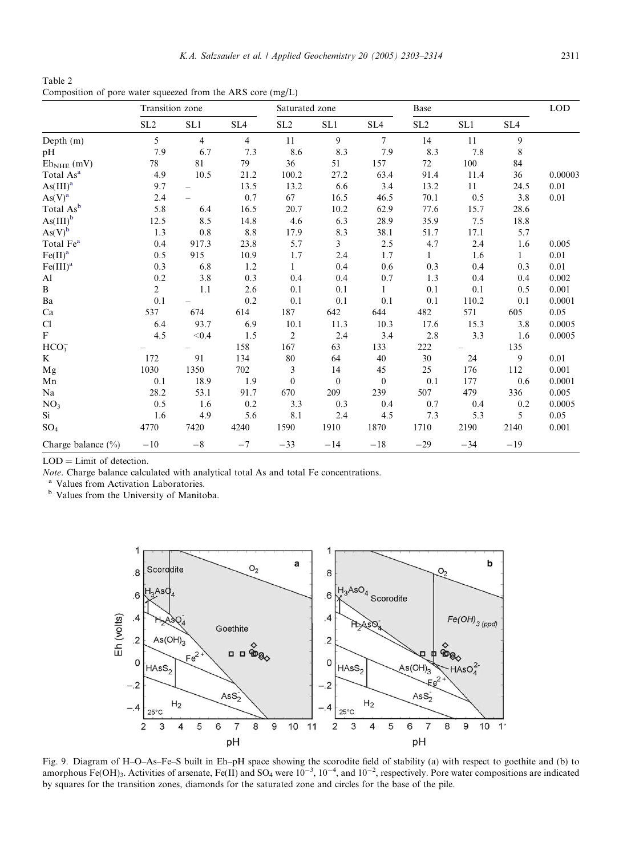<span id="page-8-0"></span>Table 2 Composition of pore water squeezed from the ARS core (mg/L)

|                             | Transition zone |                |                 | Saturated zone  |                |                  |                 |       | <b>LOD</b>      |         |
|-----------------------------|-----------------|----------------|-----------------|-----------------|----------------|------------------|-----------------|-------|-----------------|---------|
|                             | SL <sub>2</sub> | SL1            | SL <sub>4</sub> | SL <sub>2</sub> | SL1            | SL <sub>4</sub>  | SL <sub>2</sub> | SL1   | SL <sub>4</sub> |         |
| Depth $(m)$                 | 5               | $\overline{4}$ | $\overline{4}$  | 11              | 9              | $\overline{7}$   | 14              | 11    | 9               |         |
| pH                          | 7.9             | 6.7            | 7.3             | 8.6             | 8.3            | 7.9              | 8.3             | 7.8   | 8               |         |
| $Eh_{NHE}$ (mV)             | 78              | 81             | 79              | 36              | 51             | 157              | 72              | 100   | 84              |         |
| Total As <sup>a</sup>       | 4.9             | 10.5           | 21.2            | 100.2           | 27.2           | 63.4             | 91.4            | 11.4  | 36              | 0.00003 |
| $\text{As(III)}^{\text{a}}$ | 9.7             |                | 13.5            | 13.2            | 6.6            | 3.4              | 13.2            | 11    | 24.5            | 0.01    |
| As(V) <sup>a</sup>          | 2.4             |                | 0.7             | 67              | 16.5           | 46.5             | 70.1            | 0.5   | 3.8             | 0.01    |
| Total As <sup>b</sup>       | 5.8             | 6.4            | 16.5            | 20.7            | 10.2           | 62.9             | 77.6            | 15.7  | 28.6            |         |
| $\text{As(III)}^{\text{b}}$ | 12.5            | 8.5            | 14.8            | 4.6             | 6.3            | 28.9             | 35.9            | 7.5   | 18.8            |         |
| $\operatorname{As}(V)^b$    | 1.3             | 0.8            | 8.8             | 17.9            | 8.3            | 38.1             | 51.7            | 17.1  | 5.7             |         |
| Total Fe <sup>a</sup>       | 0.4             | 917.3          | 23.8            | 5.7             | $\overline{3}$ | 2.5              | 4.7             | 2.4   | 1.6             | 0.005   |
| Fe(II) <sup>a</sup>         | 0.5             | 915            | 10.9            | 1.7             | 2.4            | 1.7              | 1               | 1.6   | $\mathbf{1}$    | 0.01    |
| Fe(III) <sup>a</sup>        | 0.3             | 6.8            | 1.2             | $\mathbf{1}$    | 0.4            | 0.6              | 0.3             | 0.4   | 0.3             | 0.01    |
| Al                          | 0.2             | 3.8            | 0.3             | 0.4             | 0.4            | 0.7              | 1.3             | 0.4   | 0.4             | 0.002   |
| B                           | $\overline{c}$  | 1.1            | 2.6             | 0.1             | 0.1            | 1                | 0.1             | 0.1   | 0.5             | 0.001   |
| Ba                          | 0.1             |                | 0.2             | 0.1             | 0.1            | 0.1              | 0.1             | 110.2 | 0.1             | 0.0001  |
| Ca                          | 537             | 674            | 614             | 187             | 642            | 644              | 482             | 571   | 605             | 0.05    |
| Cl                          | 6.4             | 93.7           | 6.9             | 10.1            | 11.3           | 10.3             | 17.6            | 15.3  | 3.8             | 0.0005  |
| $\mathbf{F}$                | 4.5             | < 0.4          | 1.5             | $\overline{2}$  | 2.4            | 3.4              | 2.8             | 3.3   | 1.6             | 0.0005  |
| HCO <sub>3</sub>            |                 |                | 158             | 167             | 63             | 133              | 222             |       | 135             |         |
| K                           | 172             | 91             | 134             | 80              | 64             | 40               | 30              | 24    | 9               | 0.01    |
| Mg                          | 1030            | 1350           | 702             | 3               | 14             | 45               | 25              | 176   | 112             | 0.001   |
| Mn                          | 0.1             | 18.9           | 1.9             | $\mathbf{0}$    | $\bf{0}$       | $\boldsymbol{0}$ | 0.1             | 177   | 0.6             | 0.0001  |
| Na                          | 28.2            | 53.1           | 91.7            | 670             | 209            | 239              | 507             | 479   | 336             | 0.005   |
| NO <sub>3</sub>             | 0.5             | 1.6            | 0.2             | 3.3             | 0.3            | 0.4              | 0.7             | 0.4   | 0.2             | 0.0005  |
| Si                          | 1.6             | 4.9            | 5.6             | 8.1             | 2.4            | 4.5              | 7.3             | 5.3   | 5               | 0.05    |
| SO <sub>4</sub>             | 4770            | 7420           | 4240            | 1590            | 1910           | 1870             | 1710            | 2190  | 2140            | 0.001   |
| Charge balance $(\% )$      | $-10$           | $-8$           | $-7$            | $-33$           | $-14$          | $-18$            | $-29$           | $-34$ | $-19$           |         |

LOD = Limit of detection.

Note. Charge balance calculated with analytical total As and total Fe concentrations.

<sup>a</sup> Values from Activation Laboratories.

<sup>b</sup> Values from the University of Manitoba.



Fig. 9. Diagram of H–O–As–Fe–S built in Eh–pH space showing the scorodite field of stability (a) with respect to goethite and (b) to amorphous Fe(OH)<sub>3</sub>. Activities of arsenate, Fe(II) and SO<sub>4</sub> were  $10^{-3}$ ,  $10^{-4}$ , and  $10^{-2}$ , respectively. Pore water compositions are indicated by squares for the transition zones, diamonds for the saturated zone and circles for the base of the pile.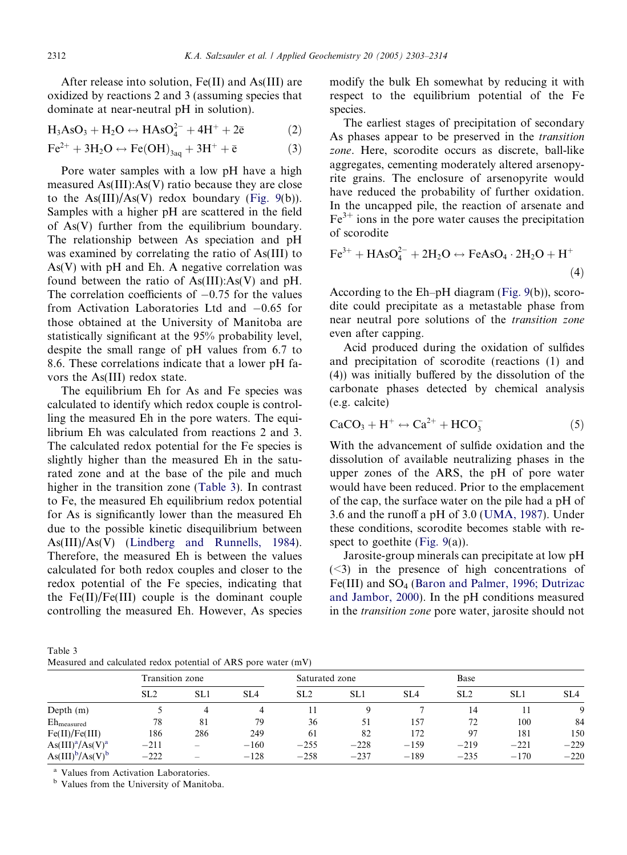After release into solution, Fe(II) and As(III) are oxidized by reactions 2 and 3 (assuming species that dominate at near-neutral pH in solution).

$$
H_3AsO_3 + H_2O \leftrightarrow HASO_4^{2-} + 4H^+ + 2\bar{e}
$$
 (2)

$$
\text{Fe}^{2+} + 3\text{H}_2\text{O} \leftrightarrow \text{Fe(OH)}_{3\text{aq}} + 3\text{H}^+ + \bar{e}
$$
 (3)

Pore water samples with a low pH have a high measured As(III):As(V) ratio because they are close to the  $As(III)/As(V)$  redox boundary ([Fig. 9](#page-8-0)(b)). Samples with a higher pH are scattered in the field of As(V) further from the equilibrium boundary. The relationship between As speciation and pH was examined by correlating the ratio of As(III) to  $As(V)$  with pH and Eh. A negative correlation was found between the ratio of  $As(III):As(V)$  and pH. The correlation coefficients of  $-0.75$  for the values from Activation Laboratories Ltd and  $-0.65$  for those obtained at the University of Manitoba are statistically significant at the 95% probability level, despite the small range of pH values from 6.7 to 8.6. These correlations indicate that a lower pH favors the As(III) redox state.

The equilibrium Eh for As and Fe species was calculated to identify which redox couple is controlling the measured Eh in the pore waters. The equilibrium Eh was calculated from reactions 2 and 3. The calculated redox potential for the Fe species is slightly higher than the measured Eh in the saturated zone and at the base of the pile and much higher in the transition zone (Table 3). In contrast to Fe, the measured Eh equilibrium redox potential for As is significantly lower than the measured Eh due to the possible kinetic disequilibrium between As(III)/As(V) ([Lindberg and Runnells, 1984](#page-11-0)). Therefore, the measured Eh is between the values calculated for both redox couples and closer to the redox potential of the Fe species, indicating that the  $Fe(II)/Fe(III)$  couple is the dominant couple controlling the measured Eh. However, As species modify the bulk Eh somewhat by reducing it with respect to the equilibrium potential of the Fe species.

The earliest stages of precipitation of secondary As phases appear to be preserved in the transition zone. Here, scorodite occurs as discrete, ball-like aggregates, cementing moderately altered arsenopyrite grains. The enclosure of arsenopyrite would have reduced the probability of further oxidation. In the uncapped pile, the reaction of arsenate and  $Fe<sup>3+</sup>$  ions in the pore water causes the precipitation of scorodite

$$
\text{Fe}^{3+} + \text{HAsO}_4^{2-} + 2\text{H}_2\text{O} \leftrightarrow \text{FeAsO}_4 \cdot 2\text{H}_2\text{O} + \text{H}^+ \tag{4}
$$

According to the Eh–pH diagram ([Fig. 9](#page-8-0)(b)), scorodite could precipitate as a metastable phase from near neutral pore solutions of the transition zone even after capping.

Acid produced during the oxidation of sulfides and precipitation of scorodite (reactions (1) and (4)) was initially buffered by the dissolution of the carbonate phases detected by chemical analysis (e.g. calcite)

$$
CaCO3 + H+ \leftrightarrow Ca2+ + HCO3-
$$
 (5)

With the advancement of sulfide oxidation and the dissolution of available neutralizing phases in the upper zones of the ARS, the pH of pore water would have been reduced. Prior to the emplacement of the cap, the surface water on the pile had a pH of 3.6 and the runoff a pH of 3.0 ([UMA, 1987](#page-11-0)). Under these conditions, scorodite becomes stable with re-spect to goethite ([Fig. 9](#page-8-0)(a)).

Jarosite-group minerals can precipitate at low pH (<3) in the presence of high concentrations of Fe(III) and SO<sub>4</sub> [\(Baron and Palmer, 1996; Dutrizac](#page-11-0) [and Jambor, 2000\)](#page-11-0). In the pH conditions measured in the transition zone pore water, jarosite should not

| Table 3 |                                                                |  |  |  |
|---------|----------------------------------------------------------------|--|--|--|
|         | Measured and calculated redox potential of ARS pore water (mV) |  |  |  |

|                          | Transition zone |                   |                 | Saturated zone  |        |                 | Base            |        |                 |
|--------------------------|-----------------|-------------------|-----------------|-----------------|--------|-----------------|-----------------|--------|-----------------|
|                          | SL <sub>2</sub> | SL1               | SL <sub>4</sub> | SL <sub>2</sub> | SL1    | SL <sub>4</sub> | SL <sub>2</sub> | SL1    | SL <sub>4</sub> |
| Depth $(m)$              |                 |                   | 4               |                 |        |                 | 14              |        |                 |
| $Eh$ <sub>measured</sub> | 78              | 81                | 79              | 36              | 51     | 157             | 72              | 100    | 84              |
| Fe(II)/Fe(III)           | 186             | 286               | 249             | 61              | 82     | 172             | 97              | 181    | 150             |
| $As(III)^{a}/As(V)^{a}$  | $-211$          |                   | $-160$          | $-255$          | $-228$ | $-159$          | $-219$          | $-221$ | $-229$          |
| $As(III)^b/As(V)^b$      | $-222$          | $\hspace{0.05cm}$ | $-128$          | $-258$          | $-237$ | $-189$          | $-235$          | $-170$ | $-220$          |

<sup>a</sup> Values from Activation Laboratories.

<sup>b</sup> Values from the University of Manitoba.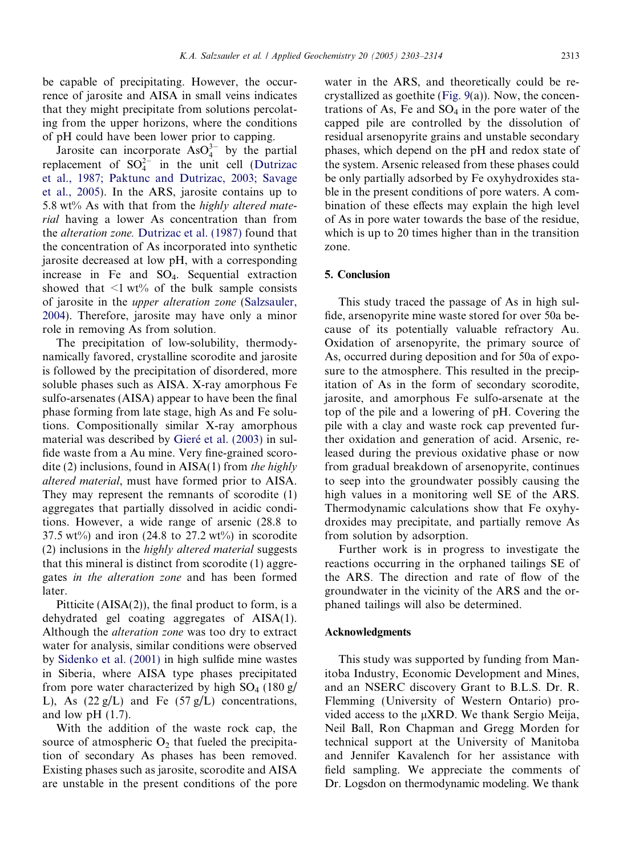be capable of precipitating. However, the occurrence of jarosite and AISA in small veins indicates that they might precipitate from solutions percolating from the upper horizons, where the conditions of pH could have been lower prior to capping.

Jarosite can incorporate  $AsO<sub>4</sub><sup>3-</sup>$  by the partial replacement of  $SO_4^{2-}$  in the unit cell ([Dutrizac](#page-11-0) [et al., 1987; Paktunc and Dutrizac, 2003; Savage](#page-11-0) [et al., 2005\)](#page-11-0). In the ARS, jarosite contains up to 5.8 wt% As with that from the highly altered material having a lower As concentration than from the alteration zone. [Dutrizac et al. \(1987\)](#page-11-0) found that the concentration of As incorporated into synthetic jarosite decreased at low pH, with a corresponding increase in Fe and SO4. Sequential extraction showed that  $\leq 1$  wt% of the bulk sample consists of jarosite in the upper alteration zone [\(Salzsauler,](#page-11-0) [2004\)](#page-11-0). Therefore, jarosite may have only a minor role in removing As from solution.

The precipitation of low-solubility, thermodynamically favored, crystalline scorodite and jarosite is followed by the precipitation of disordered, more soluble phases such as AISA. X-ray amorphous Fe sulfo-arsenates (AISA) appear to have been the final phase forming from late stage, high As and Fe solutions. Compositionally similar X-ray amorphous material was described by Gieré [et al. \(2003\)](#page-11-0) in sulfide waste from a Au mine. Very fine-grained scorodite (2) inclusions, found in  $AISA(1)$  from the highly altered material, must have formed prior to AISA. They may represent the remnants of scorodite (1) aggregates that partially dissolved in acidic conditions. However, a wide range of arsenic (28.8 to 37.5 wt%) and iron (24.8 to 27.2 wt%) in scorodite (2) inclusions in the highly altered material suggests that this mineral is distinct from scorodite (1) aggregates in the alteration zone and has been formed later.

Pitticite  $(AISA(2))$ , the final product to form, is a dehydrated gel coating aggregates of AISA(1). Although the alteration zone was too dry to extract water for analysis, similar conditions were observed by [Sidenko et al. \(2001\)](#page-11-0) in high sulfide mine wastes in Siberia, where AISA type phases precipitated from pore water characterized by high  $SO_4$  (180 g/ L), As  $(22 g/L)$  and Fe  $(57 g/L)$  concentrations, and low  $pH(1.7)$ .

With the addition of the waste rock cap, the source of atmospheric  $O_2$  that fueled the precipitation of secondary As phases has been removed. Existing phases such as jarosite, scorodite and AISA are unstable in the present conditions of the pore

water in the ARS, and theoretically could be recrystallized as goethite ([Fig. 9](#page-8-0)(a)). Now, the concentrations of As, Fe and  $SO_4$  in the pore water of the capped pile are controlled by the dissolution of residual arsenopyrite grains and unstable secondary phases, which depend on the pH and redox state of the system. Arsenic released from these phases could be only partially adsorbed by Fe oxyhydroxides stable in the present conditions of pore waters. A combination of these effects may explain the high level of As in pore water towards the base of the residue, which is up to 20 times higher than in the transition zone.

## 5. Conclusion

This study traced the passage of As in high sulfide, arsenopyrite mine waste stored for over 50a because of its potentially valuable refractory Au. Oxidation of arsenopyrite, the primary source of As, occurred during deposition and for 50a of exposure to the atmosphere. This resulted in the precipitation of As in the form of secondary scorodite, jarosite, and amorphous Fe sulfo-arsenate at the top of the pile and a lowering of pH. Covering the pile with a clay and waste rock cap prevented further oxidation and generation of acid. Arsenic, released during the previous oxidative phase or now from gradual breakdown of arsenopyrite, continues to seep into the groundwater possibly causing the high values in a monitoring well SE of the ARS. Thermodynamic calculations show that Fe oxyhydroxides may precipitate, and partially remove As from solution by adsorption.

Further work is in progress to investigate the reactions occurring in the orphaned tailings SE of the ARS. The direction and rate of flow of the groundwater in the vicinity of the ARS and the orphaned tailings will also be determined.

#### Acknowledgments

This study was supported by funding from Manitoba Industry, Economic Development and Mines, and an NSERC discovery Grant to B.L.S. Dr. R. Flemming (University of Western Ontario) provided access to the  $\mu$ XRD. We thank Sergio Meija, Neil Ball, Ron Chapman and Gregg Morden for technical support at the University of Manitoba and Jennifer Kavalench for her assistance with field sampling. We appreciate the comments of Dr. Logsdon on thermodynamic modeling. We thank